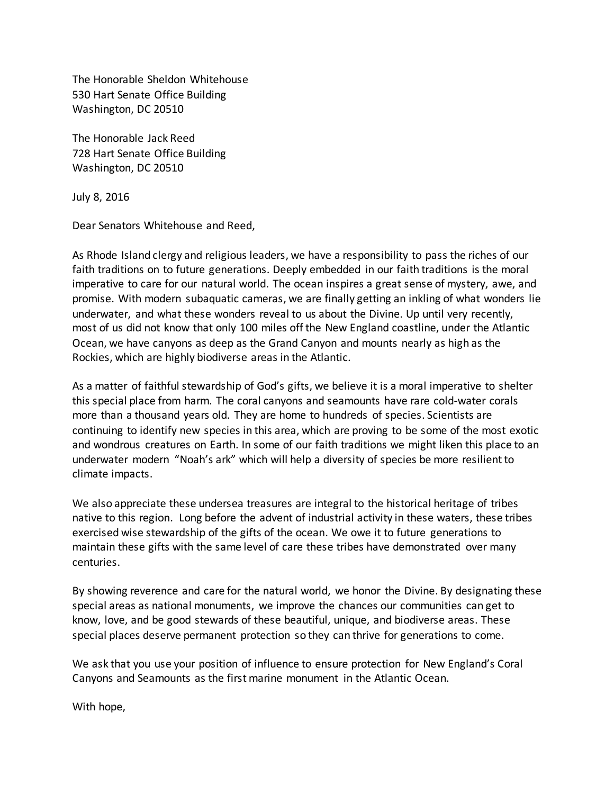The Honorable Sheldon Whitehouse 530 Hart Senate Office Building Washington, DC 20510

The Honorable Jack Reed 728 Hart Senate Office Building Washington, DC 20510

July 8, 2016

Dear Senators Whitehouse and Reed,

As Rhode Island clergy and religious leaders, we have a responsibility to pass the riches of our faith traditions on to future generations. Deeply embedded in our faith traditions is the moral imperative to care for our natural world. The ocean inspires a great sense of mystery, awe, and promise. With modern subaquatic cameras, we are finally getting an inkling of what wonders lie underwater, and what these wonders reveal to us about the Divine. Up until very recently, most of us did not know that only 100 miles off the New England coastline, under the Atlantic Ocean, we have canyons as deep as the Grand Canyon and mounts nearly as high as the Rockies, which are highly biodiverse areas in the Atlantic.

As a matter of faithful stewardship of God's gifts, we believe it is a moral imperative to shelter this special place from harm. The coral canyons and seamounts have rare cold-water corals more than a thousand years old. They are home to hundreds of species. Scientists are continuing to identify new species in this area, which are proving to be some of the most exotic and wondrous creatures on Earth. In some of our faith traditions we might liken this place to an underwater modern "Noah's ark" which will help a diversity of species be more resilient to climate impacts.

We also appreciate these undersea treasures are integral to the historical heritage of tribes native to this region. Long before the advent of industrial activity in these waters, these tribes exercised wise stewardship of the gifts of the ocean. We owe it to future generations to maintain these gifts with the same level of care these tribes have demonstrated over many centuries.

By showing reverence and care for the natural world, we honor the Divine. By designating these special areas as national monuments, we improve the chances our communities can get to know, love, and be good stewards of these beautiful, unique, and biodiverse areas. These special places deserve permanent protection so they can thrive for generations to come.

We ask that you use your position of influence to ensure protection for New England's Coral Canyons and Seamounts as the first marine monument in the Atlantic Ocean.

With hope,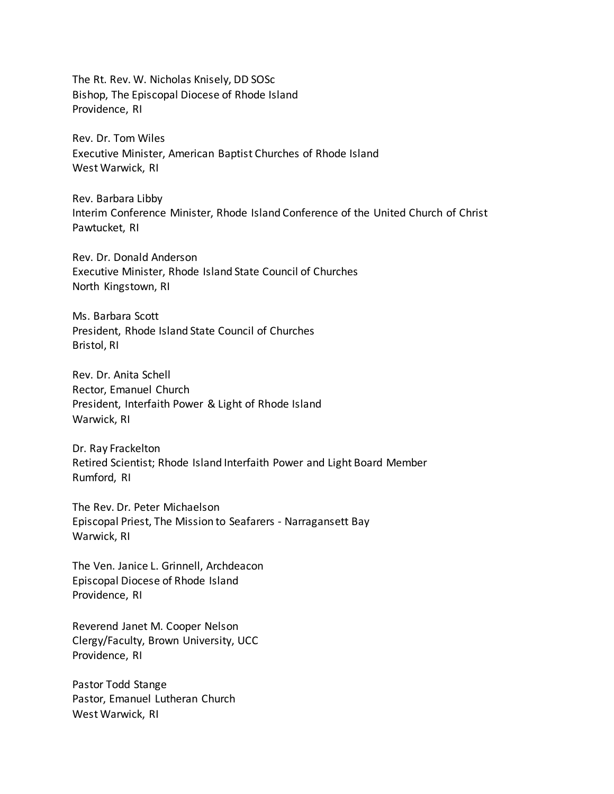The Rt. Rev. W. Nicholas Knisely, DD SOSc Bishop, The Episcopal Diocese of Rhode Island Providence, RI

Rev. Dr. Tom Wiles Executive Minister, American Baptist Churches of Rhode Island West Warwick, RI

Rev. Barbara Libby Interim Conference Minister, Rhode Island Conference of the United Church of Christ Pawtucket, RI

Rev. Dr. Donald Anderson Executive Minister, Rhode Island State Council of Churches North Kingstown, RI

Ms. Barbara Scott President, Rhode Island State Council of Churches Bristol, RI

Rev. Dr. Anita Schell Rector, Emanuel Church President, Interfaith Power & Light of Rhode Island Warwick, RI

Dr. Ray Frackelton Retired Scientist; Rhode Island Interfaith Power and Light Board Member Rumford, RI

The Rev. Dr. Peter Michaelson Episcopal Priest, The Mission to Seafarers - Narragansett Bay Warwick, RI

The Ven. Janice L. Grinnell, Archdeacon Episcopal Diocese of Rhode Island Providence, RI

Reverend Janet M. Cooper Nelson Clergy/Faculty, Brown University, UCC Providence, RI

Pastor Todd Stange Pastor, Emanuel Lutheran Church West Warwick, RI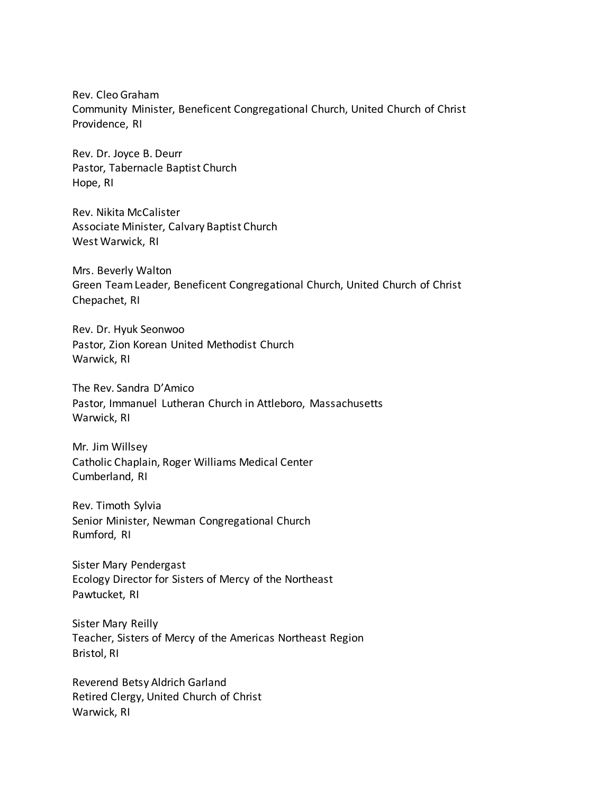Rev. Cleo Graham Community Minister, Beneficent Congregational Church, United Church of Christ Providence, RI

Rev. Dr. Joyce B. Deurr Pastor, Tabernacle Baptist Church Hope, RI

Rev. Nikita McCalister Associate Minister, Calvary Baptist Church West Warwick, RI

Mrs. Beverly Walton Green Team Leader, Beneficent Congregational Church, United Church of Christ Chepachet, RI

Rev. Dr. Hyuk Seonwoo Pastor, Zion Korean United Methodist Church Warwick, RI

The Rev. Sandra D'Amico Pastor, Immanuel Lutheran Church in Attleboro, Massachusetts Warwick, RI

Mr. Jim Willsey Catholic Chaplain, Roger Williams Medical Center Cumberland, RI

Rev. Timoth Sylvia Senior Minister, Newman Congregational Church Rumford, RI

Sister Mary Pendergast Ecology Director for Sisters of Mercy of the Northeast Pawtucket, RI

Sister Mary Reilly Teacher, Sisters of Mercy of the Americas Northeast Region Bristol, RI

Reverend Betsy Aldrich Garland Retired Clergy, United Church of Christ Warwick, RI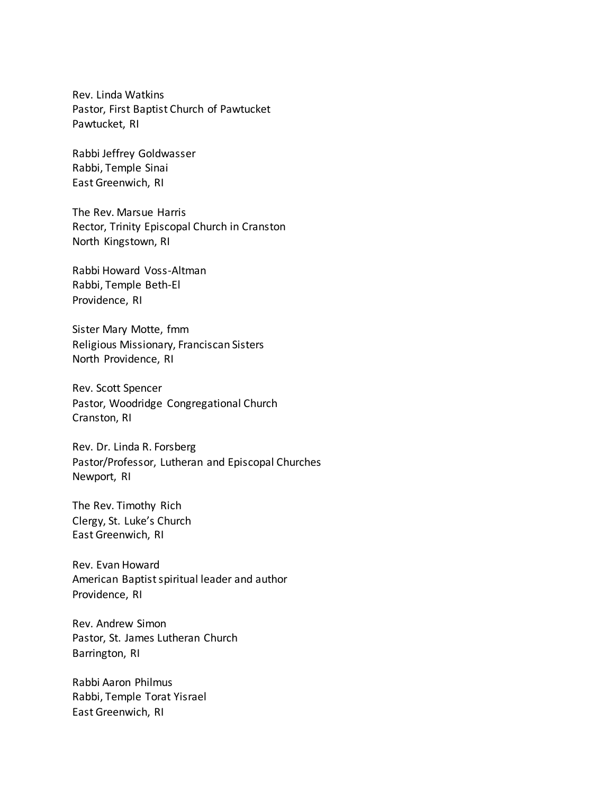Rev. Linda Watkins Pastor, First Baptist Church of Pawtucket Pawtucket, RI

Rabbi Jeffrey Goldwasser Rabbi, Temple Sinai East Greenwich, RI

The Rev. Marsue Harris Rector, Trinity Episcopal Church in Cranston North Kingstown, RI

Rabbi Howard Voss-Altman Rabbi, Temple Beth-El Providence, RI

Sister Mary Motte, fmm Religious Missionary, Franciscan Sisters North Providence, RI

Rev. Scott Spencer Pastor, Woodridge Congregational Church Cranston, RI

Rev. Dr. Linda R. Forsberg Pastor/Professor, Lutheran and Episcopal Churches Newport, RI

The Rev. Timothy Rich Clergy, St. Luke's Church East Greenwich, RI

Rev. Evan Howard American Baptist spiritual leader and author Providence, RI

Rev. Andrew Simon Pastor, St. James Lutheran Church Barrington, RI

Rabbi Aaron Philmus Rabbi, Temple Torat Yisrael East Greenwich, RI